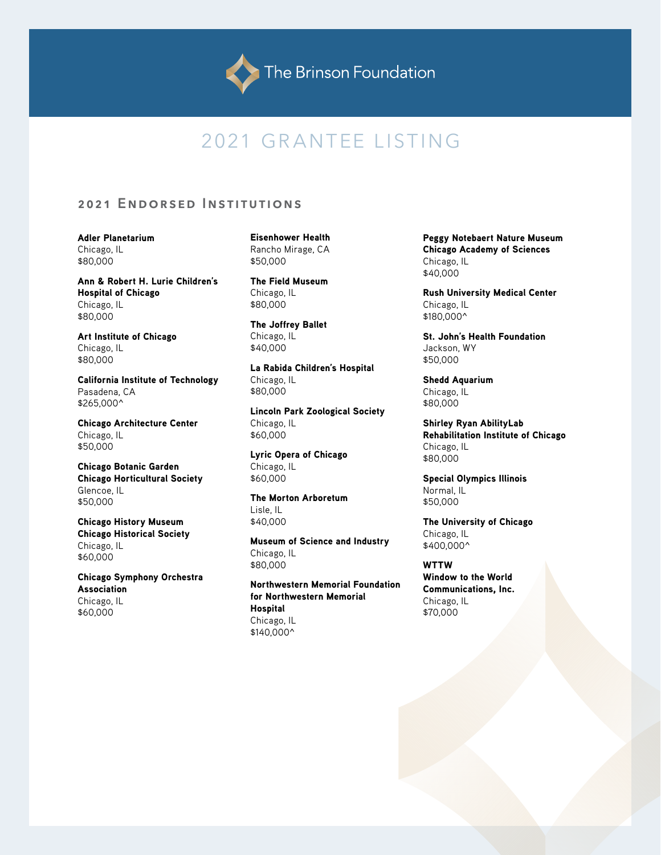

# 2021 GRANTEE LISTING

## 2021 ENDORSED INSTITUTIONS

Adler Planetarium Chicago, IL \$80,000

Ann & Robert H. Lurie Children's Hospital of Chicago Chicago, IL \$80,000

Art Institute of Chicago Chicago, IL \$80,000

California Institute of Technology Pasadena, CA \$265,000^

Chicago Architecture Center Chicago, IL \$50,000

Chicago Botanic Garden Chicago Horticultural Society Glencoe, IL \$50,000

Chicago History Museum Chicago Historical Society Chicago, IL \$60,000

Chicago Symphony Orchestra Association Chicago, IL \$60,000

Eisenhower Health Rancho Mirage, CA \$50,000

The Field Museum Chicago, IL \$80,000

The Joffrey Ballet Chicago, IL \$40,000

La Rabida Children's Hospital Chicago, IL \$80,000

Lincoln Park Zoological Society Chicago, IL \$60,000

Lyric Opera of Chicago Chicago, IL \$60,000

The Morton Arboretum Lisle, IL \$40,000

Museum of Science and Industry Chicago, IL \$80,000

Northwestern Memorial Foundation for Northwestern Memorial **Hospital** Chicago, IL \$140,000^

Peggy Notebaert Nature Museum Chicago Academy of Sciences Chicago, IL \$40,000

Rush University Medical Center Chicago, IL \$180,000^

St. John's Health Foundation Jackson, WY \$50,000

Shedd Aquarium Chicago, IL \$80,000

Shirley Ryan AbilityLab Rehabilitation Institute of Chicago Chicago, IL \$80,000

Special Olympics Illinois Normal, IL \$50,000

The University of Chicago Chicago, IL \$400,000^

WTTW Window to the World Communications, Inc. Chicago, IL \$70,000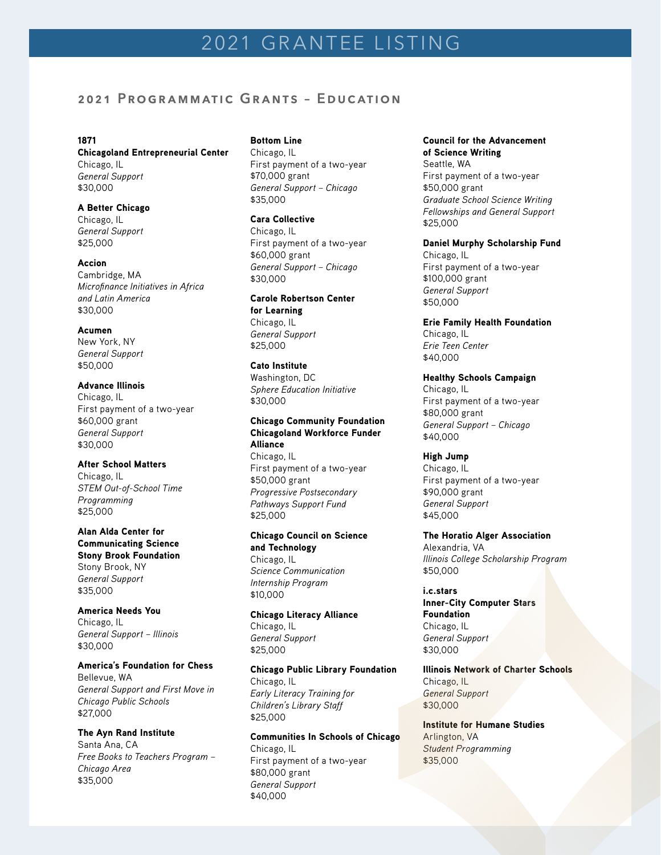# 2021 GRANTEE LISTING

## **2021 Programmatic Grants – Education**

#### 1871

#### Chicagoland Entrepreneurial Center Chicago, IL

*General Support* \$30,000

## A Better Chicago

Chicago, IL *General Support* \$25,000

## Accion

Cambridge, MA *Microfinance Initiatives in Africa and Latin America* \$30,000

#### Acumen

New York, NY *General Support* \$50,000

## Advance Illinois

Chicago, IL First payment of a two-year \$60,000 grant *General Support* \$30,000

## After School Matters

Chicago, IL *STEM Out-of-School Time Programming* \$25,000

#### Alan Alda Center for Communicating Science

Stony Brook Foundation Stony Brook, NY *General Support* \$35,000

## America Needs You

Chicago, IL *General Support – Illinois* \$30,000

## America's Foundation for Chess Bellevue, WA

*General Support and First Move in Chicago Public Schools*  \$27,000

## The Ayn Rand Institute

Santa Ana, CA *Free Books to Teachers Program – Chicago Area* \$35,000

## Bottom Line

Chicago, IL First payment of a two-year \$70,000 grant *General Support – Chicago* \$35,000

#### Cara Collective

Chicago, IL First payment of a two-year \$60,000 grant *General Support – Chicago* \$30,000

#### Carole Robertson Center for Learning

Chicago, IL *General Support* \$25,000

### Cato Institute

Washington, DC *Sphere Education Initiative* \$30,000

## Chicago Community Foundation Chicagoland Workforce Funder Alliance

Chicago, IL First payment of a two-year \$50,000 grant *Progressive Postsecondary Pathways Support Fund* \$25,000

## Chicago Council on Science and Technology

Chicago, IL *Science Communication Internship Program* \$10,000

## Chicago Literacy Alliance Chicago, IL *General Support*

\$25,000

#### Chicago Public Library Foundation Chicago, IL

*Early Literacy Training for Children's Library Staff* \$25,000

## Communities In Schools of Chicago Chicago, IL First payment of a two-year \$80,000 grant *General Support*  \$40,000

## Council for the Advancement

of Science Writing Seattle, WA First payment of a two-year \$50,000 grant *Graduate School Science Writing Fellowships and General Support*  \$25,000

## Daniel Murphy Scholarship Fund

Chicago, IL First payment of a two-year \$100,000 grant *General Support* \$50,000

Erie Family Health Foundation Chicago, IL *Erie Teen Center*  \$40,000

Healthy Schools Campaign Chicago, IL First payment of a two-year \$80,000 grant *General Support – Chicago* \$40,000

## High Jump

Chicago, IL First payment of a two-year \$90,000 grant *General Support* \$45,000

## The Horatio Alger Association Alexandria, VA *Illinois College Scholarship Program* \$50,000

i.c.stars Inner-City Computer Stars **Foundation** Chicago, IL *General Support* \$30,000

Illinois Network of Charter Schools Chicago, IL *General Support* \$30,000

Institute for Humane Studies Arlington, VA *Student Programming* \$35,000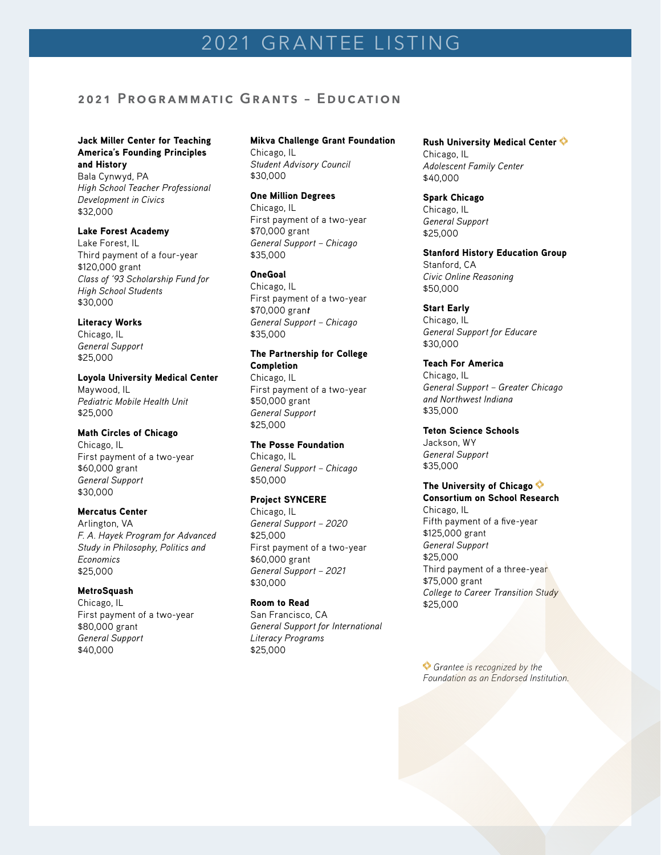## **2021 Programmatic Grants – Education**

## Jack Miller Center for Teaching America's Founding Principles and History

Bala Cynwyd, PA *High School Teacher Professional Development in Civics* \$32,000

## Lake Forest Academy

Lake Forest, IL Third payment of a four-year \$120,000 grant *Class of '93 Scholarship Fund for High School Students* \$30,000

## Literacy Works

Chicago, IL *General Support* \$25,000

Loyola University Medical Center Maywood, IL *Pediatric Mobile Health Unit* \$25,000

## Math Circles of Chicago

Chicago, IL First payment of a two-year \$60,000 grant *General Support* \$30,000

## Mercatus Center

Arlington, VA *F. A. Hayek Program for Advanced Study in Philosophy, Politics and Economics* \$25,000

## MetroSquash

Chicago, IL First payment of a two-year \$80,000 grant *General Support*  \$40,000

## Mikva Challenge Grant Foundation Chicago, IL *Student Advisory Council* \$30,000

One Million Degrees Chicago, IL First payment of a two-year \$70,000 grant *General Support – Chicago* \$35,000

### OneGoal

Chicago, IL First payment of a two-year \$70,000 gran*t General Support – Chicago* \$35,000

## The Partnership for College Completion Chicago, IL First payment of a two-year \$50,000 grant *General Support* \$25,000

The Posse Foundation Chicago, IL *General Support – Chicago* \$50,000

## Project SYNCERE

Chicago, IL *General Support – 2020* \$25,000 First payment of a two-year \$60,000 grant *General Support – 2021* \$30,000

## Room to Read

San Francisco, CA *General Support for International Literacy Programs* \$25,000

Rush University Medical Center Chicago, IL *Adolescent Family Center*  \$40,000

Spark Chicago Chicago, IL *General Support* \$25,000

Stanford History Education Group Stanford, CA *Civic Online Reasoning* \$50,000

Start Early Chicago, IL *General Support for Educare* \$30,000

Teach For America Chicago, IL *General Support – Greater Chicago and Northwest Indiana* \$35,000

Teton Science Schools Jackson, WY

*General Support* \$35,000

## The University of Chicago  $\diamondsuit$

Consortium on School Research Chicago, IL Fifth payment of a five-year \$125,000 grant *General Support* \$25,000 Third payment of a three-year \$75,000 grant *College to Career Transition Study* \$25,000

 *Grantee is recognized by the Foundation as an Endorsed Institution.*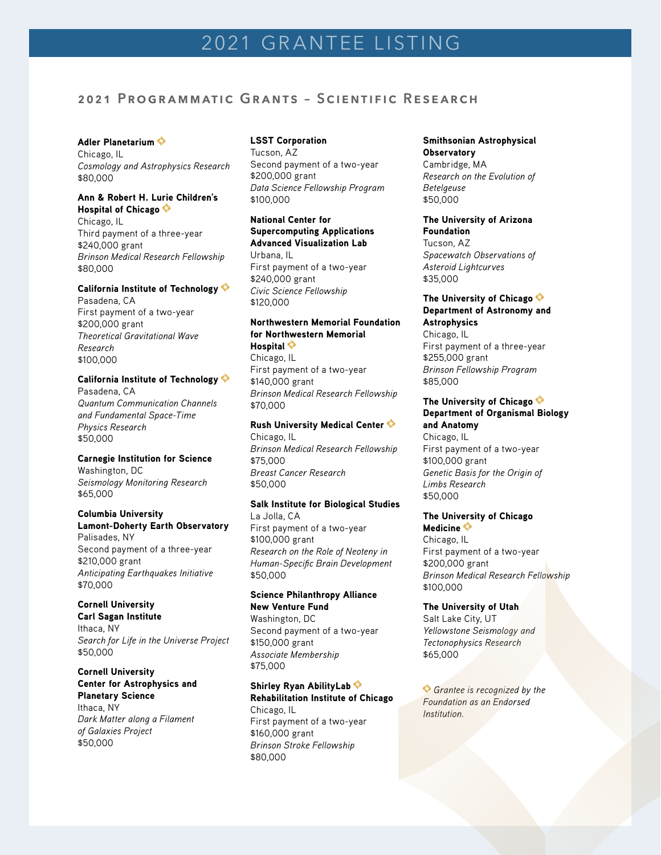## **2021 Programmatic Grants – Scientific Research**

## Adler Planetarium

Chicago, IL *Cosmology and Astrophysics Research* \$80,000

## Ann & Robert H. Lurie Children's Hospital of Chicago

Chicago, IL Third payment of a three-year \$240,000 grant *Brinson Medical Research Fellowship* \$80,000

## California Institute of Technology

Pasadena, CA First payment of a two-year \$200,000 grant *Theoretical Gravitational Wave Research* \$100,000

## California Institute of Technology

Pasadena, CA *Quantum Communication Channels and Fundamental Space-Time Physics Research* \$50,000

## Carnegie Institution for Science

Washington, DC *Seismology Monitoring Research* \$65,000

## Columbia University Lamont-Doherty Earth Observatory

Palisades, NY Second payment of a three-year \$210,000 grant *Anticipating Earthquakes Initiative* \$70,000

## Cornell University

Carl Sagan Institute Ithaca, NY *Search for Life in the Universe Project* \$50,000

## Cornell University Center for Astrophysics and Planetary Science Ithaca, NY *Dark Matter along a Filament of Galaxies Project* \$50,000

## LSST Corporation

Tucson, AZ Second payment of a two-year \$200,000 grant *Data Science Fellowship Program*  \$100,000

## National Center for Supercomputing Applications Advanced Visualization Lab Urbana, IL First payment of a two-year \$240,000 grant *Civic Science Fellowship*

\$120,000

## Northwestern Memorial Foundation for Northwestern Memorial Hospital  $\diamondsuit$

Chicago, IL First payment of a two-year \$140,000 grant *Brinson Medical Research Fellowship* \$70,000

## Rush University Medical Center

Chicago, IL *Brinson Medical Research Fellowship* \$75,000 *Breast Cancer Research* \$50,000

## Salk Institute for Biological Studies

La Jolla, CA First payment of a two-year \$100,000 grant *Research on the Role of Neoteny in Human-Specific Brain Development* \$50,000

#### Science Philanthropy Alliance New Venture Fund

Washington, DC Second payment of a two-year \$150,000 grant *Associate Membership* \$75,000

Shirley Ryan AbilityLab Rehabilitation Institute of Chicago Chicago, IL First payment of a two-year \$160,000 grant *Brinson Stroke Fellowship* \$80,000

## Smithsonian Astrophysical **Observatory** Cambridge, MA *Research on the Evolution of*

*Betelgeuse*  \$50,000

The University of Arizona Foundation Tucson, AZ *Spacewatch Observations of Asteroid Lightcurves*

# \$35,000

#### The University of Chicago  $\diamondsuit$ Department of Astronomy and **Astrophysics**

Chicago, IL First payment of a three-year \$255,000 grant *Brinson Fellowship Program* \$85,000

## The University of Chicago  $\diamondsuit$ Department of Organismal Biology and Anatomy

Chicago, IL First payment of a two-year \$100,000 grant *Genetic Basis for the Origin of Limbs Research* \$50,000

## The University of Chicago

Medicine  $\diamondsuit$ Chicago, IL First payment of a two-year \$200,000 grant *Brinson Medical Research Fellowship* \$100,000

The University of Utah Salt Lake City, UT *Yellowstone Seismology and Tectonophysics Research* \$65,000

*Grantee is recognized by the Foundation as an Endorsed Institution.*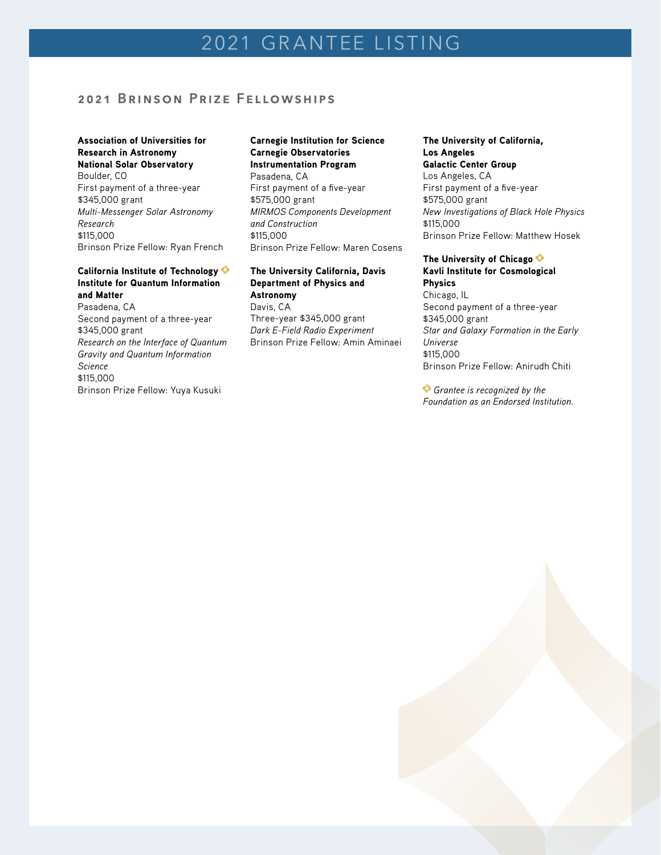## **2021 Brinson Prize Fellowships**

## Association of Universities for Research in Astronomy National Solar Observatory

Boulder, CO First payment of a three-year \$345,000 grant *Multi-Messenger Solar Astronomy Research*  \$115,000 Brinson Prize Fellow: Ryan French

## California Institute of Technology Institute for Quantum Information and Matter

Pasadena, CA Second payment of a three-year \$345,000 grant *Research on the Interface of Quantum Gravity and Quantum Information Science*  \$115,000 Brinson Prize Fellow: Yuya Kusuki

## Carnegie Institution for Science Carnegie Observatories Instrumentation Program

Pasadena, CA First payment of a five-year \$575,000 grant *MIRMOS Components Development and Construction*  \$115,000 Brinson Prize Fellow: Maren Cosens

## The University California, Davis Department of Physics and Astronomy Davis, CA

Three-year \$345,000 grant *Dark E-Field Radio Experiment*  Brinson Prize Fellow: Amin Aminaei

## The University of California, Los Angeles

Galactic Center Group Los Angeles, CA First payment of a five-year \$575,000 grant *New Investigations of Black Hole Physics*  \$115,000 Brinson Prize Fellow: Matthew Hosek

## The University of Chicago  $\diamondsuit$ Kavli Institute for Cosmological

Physics Chicago, IL Second payment of a three-year \$345,000 grant *Star and Galaxy Formation in the Early Universe* \$115,000 Brinson Prize Fellow: Anirudh Chiti

*Grantee is recognized by the Foundation as an Endorsed Institution.*

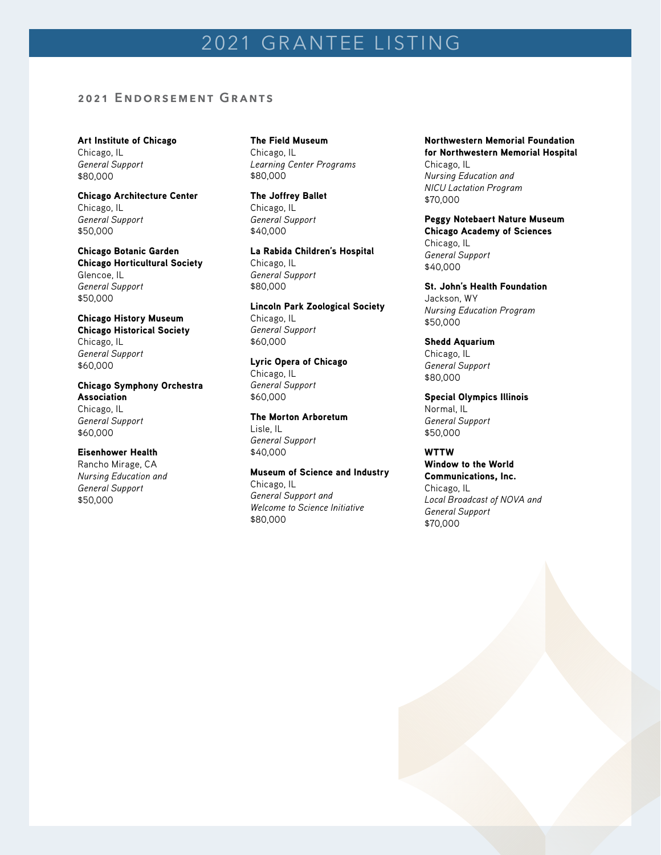## 2021 GRANTEE LISTING

## **2021 Endorsement Grants**

Art Institute of Chicago Chicago, IL *General Support* \$80,000

#### Chicago Architecture Center Chicago, IL

*General Support* \$50,000

## Chicago Botanic Garden

Chicago Horticultural Society Glencoe, IL *General Support* \$50,000

## Chicago History Museum

Chicago Historical Society Chicago, IL *General Support* \$60,000

Chicago Symphony Orchestra Association Chicago, IL *General Support* \$60,000

## Eisenhower Health

Rancho Mirage, CA *Nursing Education and General Support* \$50,000

The Field Museum Chicago, IL *Learning Center Programs* \$80,000

The Joffrey Ballet Chicago, IL *General Support* \$40,000

La Rabida Children's Hospital Chicago, IL *General Support* \$80,000

Lincoln Park Zoological Society Chicago, IL *General Support* \$60,000

Lyric Opera of Chicago Chicago, IL *General Support* \$60,000

## The Morton Arboretum

Lisle, IL *General Support* \$40,000

#### Museum of Science and Industry Chicago, IL *General Support and*

*Welcome to Science Initiative* \$80,000

Northwestern Memorial Foundation for Northwestern Memorial Hospital Chicago, IL *Nursing Education and NICU Lactation Program* \$70,000

Peggy Notebaert Nature Museum Chicago Academy of Sciences Chicago, IL *General Support* \$40,000

St. John's Health Foundation Jackson, WY *Nursing Education Program* \$50,000

Shedd Aquarium Chicago, IL *General Support* \$80,000

Special Olympics Illinois Normal, IL *General Support* \$50,000

WTTW Window to the World Communications, Inc. Chicago, IL *Local Broadcast of NOVA and General Support* \$70,000